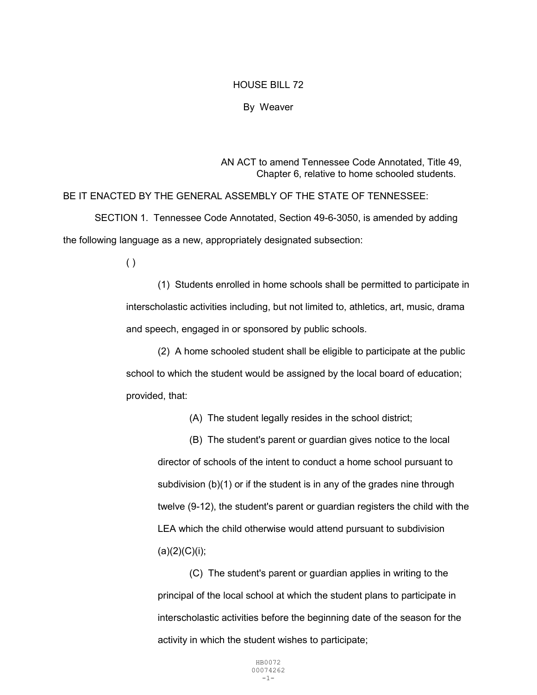## HOUSE BILL 72

## By Weaver

AN ACT to amend Tennessee Code Annotated, Title 49, Chapter 6, relative to home schooled students.

BE IT ENACTED BY THE GENERAL ASSEMBLY OF THE STATE OF TENNESSEE: SECTION 1. Tennessee Code Annotated, Section 49-6-3050, is amended by adding the following language as a new, appropriately designated subsection:

( )

 (1) Students enrolled in home schools shall be permitted to participate in interscholastic activities including, but not limited to, athletics, art, music, drama and speech, engaged in or sponsored by public schools.

 (2) A home schooled student shall be eligible to participate at the public school to which the student would be assigned by the local board of education; provided, that:

(A) The student legally resides in the school district;

 (B) The student's parent or guardian gives notice to the local director of schools of the intent to conduct a home school pursuant to subdivision (b)(1) or if the student is in any of the grades nine through twelve (9-12), the student's parent or guardian registers the child with the LEA which the child otherwise would attend pursuant to subdivision  $(a)(2)(C)(i);$ 

 (C) The student's parent or guardian applies in writing to the principal of the local school at which the student plans to participate in interscholastic activities before the beginning date of the season for the activity in which the student wishes to participate;

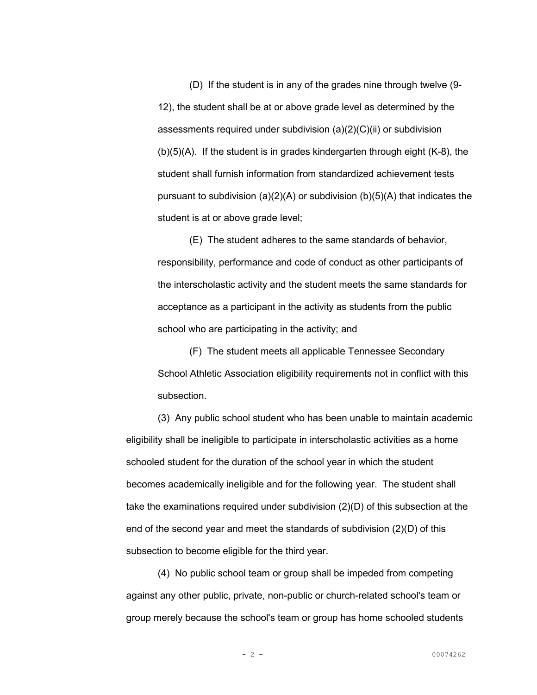(D) If the student is in any of the grades nine through twelve (9- 12), the student shall be at or above grade level as determined by the assessments required under subdivision  $(a)(2)(C)(ii)$  or subdivision (b)(5)(A). If the student is in grades kindergarten through eight (K-8), the student shall furnish information from standardized achievement tests pursuant to subdivision  $(a)(2)(A)$  or subdivision  $(b)(5)(A)$  that indicates the student is at or above grade level;

 (E) The student adheres to the same standards of behavior, responsibility, performance and code of conduct as other participants of the interscholastic activity and the student meets the same standards for acceptance as a participant in the activity as students from the public school who are participating in the activity; and

(F) The student meets all applicable Tennessee Secondary School Athletic Association eligibility requirements not in conflict with this subsection.

(3) Any public school student who has been unable to maintain academic eligibility shall be ineligible to participate in interscholastic activities as a home schooled student for the duration of the school year in which the student becomes academically ineligible and for the following year. The student shall take the examinations required under subdivision (2)(D) of this subsection at the end of the second year and meet the standards of subdivision (2)(D) of this subsection to become eligible for the third year.

 (4) No public school team or group shall be impeded from competing against any other public, private, non-public or church-related school's team or group merely because the school's team or group has home schooled students